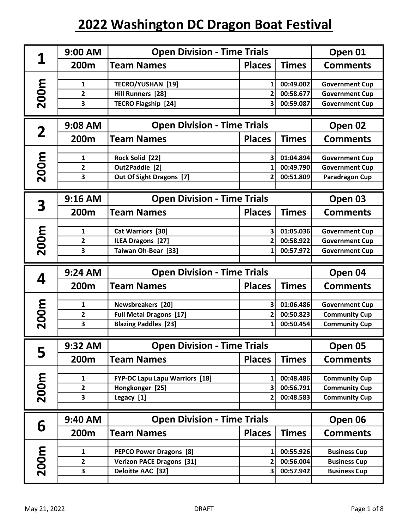| 1    | 9:00 AM        | <b>Open Division - Time Trials</b>                         |               |                        | Open 01                                       |
|------|----------------|------------------------------------------------------------|---------------|------------------------|-----------------------------------------------|
|      | 200m           | <b>Team Names</b>                                          | <b>Places</b> | <b>Times</b>           | <b>Comments</b>                               |
|      | 1              | <b>TECRO/YUSHAN [19]</b>                                   | 1             | 00:49.002              | <b>Government Cup</b>                         |
|      | 2              | Hill Runners [28]                                          | 2             | 00:58.677              | <b>Government Cup</b>                         |
| 200m | 3              | <b>TECRO Flagship [24]</b>                                 | 3             | 00:59.087              | <b>Government Cup</b>                         |
|      |                |                                                            |               |                        |                                               |
| 2    | 9:08 AM        | <b>Open Division - Time Trials</b>                         |               |                        | Open 02                                       |
|      | 200m           | <b>Team Names</b>                                          | <b>Places</b> | <b>Times</b>           | <b>Comments</b>                               |
| 200m | 1              | Rock Solid [22]                                            | 3             | 01:04.894              | <b>Government Cup</b>                         |
|      | $\overline{2}$ | Out2Paddle [2]                                             | 1             | 00:49.790              | <b>Government Cup</b>                         |
|      | 3              | Out Of Sight Dragons [7]                                   | 2             | 00:51.809              | Paradragon Cup                                |
|      |                |                                                            |               |                        |                                               |
| 3    | 9:16 AM        | <b>Open Division - Time Trials</b>                         |               |                        | Open 03                                       |
|      | 200m           | <b>Team Names</b>                                          | <b>Places</b> | <b>Times</b>           | <b>Comments</b>                               |
| 200m | $\mathbf{1}$   | Cat Warriors [30]                                          | 3             | 01:05.036              | <b>Government Cup</b>                         |
|      | $\mathbf{2}$   | ILEA Dragons [27]                                          | 2             | 00:58.922              | <b>Government Cup</b>                         |
|      | 3              | Taiwan Oh-Bear [33]                                        | 1             | 00:57.972              | <b>Government Cup</b>                         |
|      |                |                                                            |               |                        |                                               |
|      | 9:24 AM        | <b>Open Division - Time Trials</b>                         |               |                        | Open 04                                       |
| 4    | 200m           | <b>Team Names</b>                                          | <b>Places</b> | <b>Times</b>           | <b>Comments</b>                               |
|      | 1              |                                                            |               |                        |                                               |
|      | 2              | <b>Newsbreakers</b> [20]<br><b>Full Metal Dragons [17]</b> | 3<br>2        | 01:06.486<br>00:50.823 | <b>Government Cup</b><br><b>Community Cup</b> |
|      | 3              | <b>Blazing Paddles [23]</b>                                | 1             | 00:50.454              | <b>Community Cup</b>                          |
| 200m |                |                                                            |               |                        |                                               |
|      | 9:32 AM        | <b>Open Division - Time Trials</b>                         |               |                        | Open 05                                       |
| 5    | 200m           | <b>Team Names</b>                                          | <b>Places</b> | <b>Times</b>           | <b>Comments</b>                               |
|      | 1              | <b>FYP-DC Lapu Lapu Warriors [18]</b>                      | 1             | 00:48.486              | <b>Community Cup</b>                          |
|      | $\overline{2}$ | Hongkonger [25]                                            | 3             | 00:56.791              | <b>Community Cup</b>                          |
| 200m | 3              | Legacy [1]                                                 | 2             | 00:48.583              | <b>Community Cup</b>                          |
|      |                |                                                            |               |                        |                                               |
| 6    | 9:40 AM        | <b>Open Division - Time Trials</b>                         |               |                        | Open 06                                       |
|      | 200m           | <b>Team Names</b>                                          | <b>Places</b> | <b>Times</b>           | <b>Comments</b>                               |
|      | $\mathbf{1}$   | <b>PEPCO Power Dragons [8]</b>                             | 1             | 00:55.926              | <b>Business Cup</b>                           |
|      | $\mathbf{2}$   | <b>Verizon PACE Dragons [31]</b>                           | 2             | 00:56.004              | <b>Business Cup</b>                           |
|      |                |                                                            |               |                        |                                               |
|      |                |                                                            |               |                        |                                               |
| 200m | 3              | Deloitte AAC [32]                                          | 3             | 00:57.942              | <b>Business Cup</b>                           |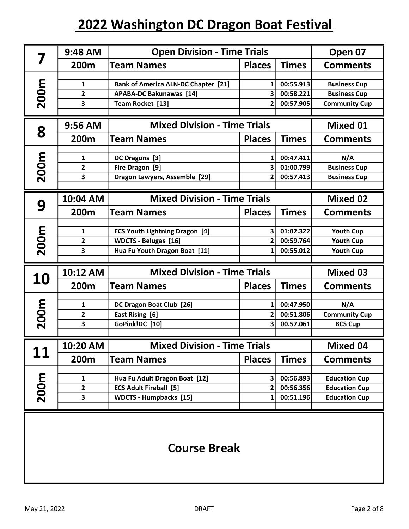|           | 9:48 AM        | <b>Open Division - Time Trials</b>         |                                     |              | Open 07              |
|-----------|----------------|--------------------------------------------|-------------------------------------|--------------|----------------------|
|           | 200m           | <b>Team Names</b>                          | <b>Places</b>                       | <b>Times</b> | <b>Comments</b>      |
|           |                |                                            |                                     |              |                      |
| 200m      | 1              | <b>Bank of America ALN-DC Chapter [21]</b> | 1                                   | 00:55.913    | <b>Business Cup</b>  |
|           | 2              | <b>APABA-DC Bakunawas [14]</b>             | 3                                   | 00:58.221    | <b>Business Cup</b>  |
|           | 3              | Team Rocket [13]                           | 2                                   | 00:57.905    | <b>Community Cup</b> |
|           |                | <b>Mixed Division - Time Trials</b>        |                                     |              |                      |
| 8         | 9:56 AM        |                                            |                                     |              | <b>Mixed 01</b>      |
|           | 200m           | <b>Team Names</b>                          | <b>Places</b>                       | <b>Times</b> | <b>Comments</b>      |
|           | 1              | DC Dragons [3]                             | 1                                   | 00:47.411    | N/A                  |
|           | 2              | Fire Dragon [9]                            | 3                                   | 01:00.799    | <b>Business Cup</b>  |
| 200m      | 3              | Dragon Lawyers, Assemble [29]              | 2                                   | 00:57.413    | <b>Business Cup</b>  |
|           |                |                                            |                                     |              |                      |
|           | 10:04 AM       | <b>Mixed Division - Time Trials</b>        |                                     |              | <b>Mixed 02</b>      |
| 9         | 200m           | <b>Team Names</b>                          | <b>Places</b>                       | <b>Times</b> | <b>Comments</b>      |
|           |                |                                            |                                     |              |                      |
| 200m      | 1              | <b>ECS Youth Lightning Dragon [4]</b>      | 3                                   | 01:02.322    | <b>Youth Cup</b>     |
|           | $\overline{2}$ | <b>WDCTS - Belugas [16]</b>                | 2                                   | 00:59.764    | <b>Youth Cup</b>     |
|           | 3              | Hua Fu Youth Dragon Boat [11]              | 1                                   | 00:55.012    | <b>Youth Cup</b>     |
|           |                |                                            |                                     |              | <b>Mixed 03</b>      |
| 10        | 10:12 AM       |                                            | <b>Mixed Division - Time Trials</b> |              |                      |
|           | 200m           | <b>Team Names</b>                          | <b>Places</b>                       | <b>Times</b> | <b>Comments</b>      |
|           | 1              | DC Dragon Boat Club [26]                   | 1                                   | 00:47.950    | N/A                  |
|           | 2              | East Rising [6]                            | 2                                   | 00:51.806    | <b>Community Cup</b> |
| 200m      | 3              | GoPink!DC [10]                             | 3                                   | 00.57.061    | <b>BCS Cup</b>       |
|           |                |                                            |                                     |              |                      |
|           | 10:20 AM       | <b>Mixed Division - Time Trials</b>        |                                     |              | <b>Mixed 04</b>      |
| <b>11</b> | 200m           | <b>Team Names</b>                          | <b>Places</b>                       | <b>Times</b> | <b>Comments</b>      |
|           |                |                                            |                                     |              |                      |
| 200m      | 1              | Hua Fu Adult Dragon Boat [12]              | 3                                   | 00:56.893    | <b>Education Cup</b> |
|           | 2              | <b>ECS Adult Fireball [5]</b>              | 2                                   | 00:56.356    | <b>Education Cup</b> |
|           | 3              | <b>WDCTS - Humpbacks [15]</b>              | 1                                   | 00:51.196    | <b>Education Cup</b> |
|           |                |                                            |                                     |              |                      |

#### Course Break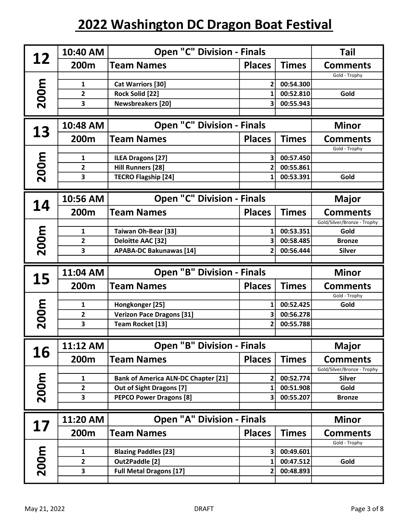| 12   | 10:40 AM                | <b>Open "C" Division - Finals</b>          |               |              | <b>Tail</b>                 |
|------|-------------------------|--------------------------------------------|---------------|--------------|-----------------------------|
|      | 200m                    | <b>Team Names</b>                          | <b>Places</b> | <b>Times</b> | <b>Comments</b>             |
|      |                         |                                            |               |              | Gold - Trophy               |
| 200m | $\mathbf{1}$            | <b>Cat Warriors [30]</b>                   | 2             | 00:54.300    |                             |
|      | $\overline{2}$          | Rock Solid [22]                            | 1             | 00:52.810    | Gold                        |
|      | $\overline{\mathbf{3}}$ | <b>Newsbreakers</b> [20]                   | 3             | 00:55.943    |                             |
| 13   | 10:48 AM                | <b>Open "C" Division - Finals</b>          |               |              | <b>Minor</b>                |
|      | 200m                    | <b>Team Names</b>                          | <b>Places</b> | <b>Times</b> | <b>Comments</b>             |
|      |                         |                                            |               |              | Gold - Trophy               |
| 200m | 1                       | <b>ILEA Dragons [27]</b>                   | 3             | 00:57.450    |                             |
|      | $\overline{2}$          | <b>Hill Runners [28]</b>                   |               | 00:55.861    |                             |
|      | 3                       | <b>TECRO Flagship [24]</b>                 | 1             | 00:53.391    | Gold                        |
| 14   | 10:56 AM                | <b>Open "C" Division - Finals</b>          |               |              | <b>Major</b>                |
|      | 200m                    | <b>Team Names</b>                          | <b>Places</b> | <b>Times</b> | <b>Comments</b>             |
|      |                         |                                            |               |              | Gold/Silver/Bronze - Trophy |
| 200m | $\mathbf{1}$            | <b>Taiwan Oh-Bear [33]</b>                 | 1             | 00:53.351    | Gold                        |
|      | $\overline{2}$          | <b>Deloitte AAC [32]</b>                   | 3             | 00:58.485    | <b>Bronze</b>               |
|      | 3                       | <b>APABA-DC Bakunawas [14]</b>             | 2             | 00:56.444    | <b>Silver</b>               |
|      |                         |                                            |               |              |                             |
|      | 11:04 AM                | <b>Open "B" Division - Finals</b>          |               |              | <b>Minor</b>                |
| 15   | 200m                    | <b>Team Names</b>                          | <b>Places</b> | <b>Times</b> | <b>Comments</b>             |
|      |                         |                                            |               |              | Gold - Trophy               |
|      | 1                       | Hongkonger [25]                            | 1             | 00:52.425    | Gold                        |
|      | $\overline{2}$          | <b>Verizon Pace Dragons [31]</b>           | 3             | 00:56.278    |                             |
| 200m | $\overline{\mathbf{3}}$ | <b>Team Rocket [13]</b>                    | 2             | 00:55.788    |                             |
|      | 11:12 AM                | <b>Open "B" Division - Finals</b>          |               |              | <b>Major</b>                |
| 16   | 200m                    | <b>Team Names</b>                          | <b>Places</b> | <b>Times</b> | <b>Comments</b>             |
|      |                         |                                            |               |              | Gold/Silver/Bronze - Trophy |
|      | 1                       | <b>Bank of America ALN-DC Chapter [21]</b> | 2             | 00:52.774    | <b>Silver</b>               |
|      | $\overline{2}$          | Out of Sight Dragons [7]                   | 1             | 00:51.908    | Gold                        |
| 200m | 3                       | <b>PEPCO Power Dragons [8]</b>             | 3             | 00:55.207    | <b>Bronze</b>               |
|      | 11:20 AM                | <b>Open "A" Division - Finals</b>          |               |              | <b>Minor</b>                |
| 17   | 200m                    | <b>Team Names</b>                          | <b>Places</b> | <b>Times</b> | <b>Comments</b>             |
|      |                         |                                            |               |              | Gold - Trophy               |
|      | $\mathbf{1}$            | <b>Blazing Paddles [23]</b>                | 3             | 00:49.601    |                             |
|      | $\mathbf{2}$            | Out2Paddle [2]                             | 1             | 00:47.512    | Gold                        |
| 200m | 3                       | <b>Full Metal Dragons [17]</b>             | 2             | 00:48.893    |                             |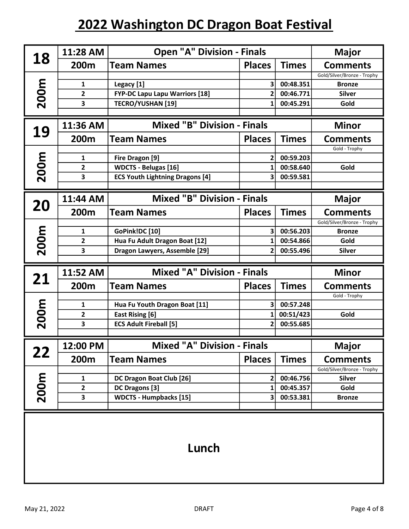|             | 11:28 AM                | <b>Open "A" Division - Finals</b>      |                |              | <b>Major</b>                |
|-------------|-------------------------|----------------------------------------|----------------|--------------|-----------------------------|
| 18          | 200m                    | <b>Team Names</b>                      | <b>Places</b>  | <b>Times</b> | <b>Comments</b>             |
|             |                         |                                        |                |              | Gold/Silver/Bronze - Trophy |
|             | 1                       | Legacy [1]                             | 3              | 00:48.351    | <b>Bronze</b>               |
|             | $\overline{\mathbf{c}}$ | <b>FYP-DC Lapu Lapu Warriors [18]</b>  | 2              | 00:46.771    | <b>Silver</b>               |
| 200m        | 3                       | <b>TECRO/YUSHAN [19]</b>               | 1              | 00:45.291    | Gold                        |
|             |                         |                                        |                |              |                             |
| 19          | 11:36 AM                | <b>Mixed "B" Division - Finals</b>     | <b>Minor</b>   |              |                             |
|             | 200m                    | <b>Team Names</b>                      | <b>Places</b>  | <b>Times</b> | <b>Comments</b>             |
|             |                         |                                        |                |              | Gold - Trophy               |
|             | 1                       | Fire Dragon [9]                        | $\overline{2}$ | 00:59.203    |                             |
| <b>200m</b> | 2                       | <b>WDCTS - Belugas [16]</b>            | 1              | 00:58.640    | Gold                        |
|             | 3                       | <b>ECS Youth Lightning Dragons [4]</b> | 3              | 00:59.581    |                             |
|             | 11:44 AM                | <b>Mixed "B" Division - Finals</b>     |                |              | <b>Major</b>                |
| 20          | 200m                    | <b>Team Names</b>                      | <b>Places</b>  | <b>Times</b> | <b>Comments</b>             |
|             |                         |                                        |                |              | Gold/Silver/Bronze - Trophy |
|             | 1                       | GoPink!DC [10]                         | 3              | 00:56.203    | <b>Bronze</b>               |
|             | $\overline{2}$          | Hua Fu Adult Dragon Boat [12]          | 1              | 00:54.866    | Gold                        |
| 200m        | 3                       | Dragon Lawyers, Assemble [29]          | 2              | 00:55.496    | <b>Silver</b>               |
|             |                         |                                        |                |              |                             |
| 21          | 11:52 AM                | <b>Mixed "A" Division - Finals</b>     |                |              | <b>Minor</b>                |
|             | 200m                    | <b>Team Names</b>                      | <b>Places</b>  | <b>Times</b> | <b>Comments</b>             |
|             |                         |                                        |                |              | Gold - Trophy               |
|             | 1                       | Hua Fu Youth Dragon Boat [11]          | 3              | 00:57.248    |                             |
| 200m        | $\overline{\mathbf{c}}$ | East Rising [6]                        |                | 00:51/423    | Gold                        |
|             | 3                       | <b>ECS Adult Fireball [5]</b>          | 2              | 00:55.685    |                             |
|             | 12:00 PM                | <b>Mixed "A" Division - Finals</b>     |                |              | <b>Major</b>                |
| 22          | 200m                    | <b>Team Names</b>                      | <b>Places</b>  | <b>Times</b> | <b>Comments</b>             |
|             |                         |                                        |                |              | Gold/Silver/Bronze - Trophy |
|             | 1                       | DC Dragon Boat Club [26]               | 2              | 00:46.756    | <b>Silver</b>               |
|             | 2                       | <b>DC Dragons [3]</b>                  | 1              | 00:45.357    | Gold                        |
| 200m        | 3                       | <b>WDCTS - Humpbacks [15]</b>          | 3              | 00:53.381    | <b>Bronze</b>               |
|             |                         |                                        |                |              |                             |

# Lunch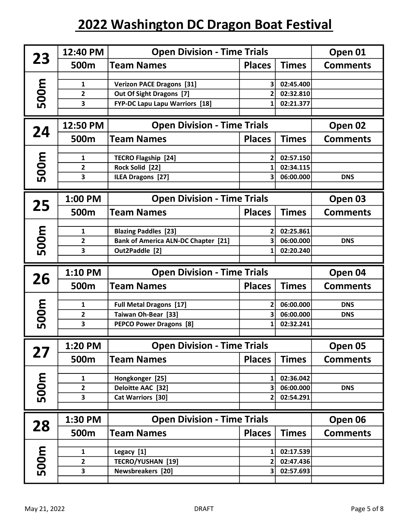| 23   | 12:40 PM        | <b>Open Division - Time Trials</b>                      |               |                        | Open 01                    |
|------|-----------------|---------------------------------------------------------|---------------|------------------------|----------------------------|
|      | 500m            | <b>Team Names</b>                                       | <b>Places</b> | <b>Times</b>           | <b>Comments</b>            |
|      | 1               | <b>Verizon PACE Dragons [31]</b>                        | 3             | 02:45.400              |                            |
|      | 2               | Out Of Sight Dragons [7]                                | 2             | 02:32.810              |                            |
| 500m | 3               | <b>FYP-DC Lapu Lapu Warriors [18]</b>                   | 1             | 02:21.377              |                            |
|      |                 |                                                         |               |                        |                            |
| 24   | 12:50 PM        | <b>Open Division - Time Trials</b>                      |               |                        | Open 02                    |
|      | 500m            | <b>Team Names</b>                                       | <b>Places</b> | <b>Times</b>           | <b>Comments</b>            |
|      | 1               | <b>TECRO Flagship [24]</b>                              | 2             | 02:57.150              |                            |
|      | 2               | Rock Solid [22]                                         | 1             | 02:34.115              |                            |
| 500m | 3               | ILEA Dragons [27]                                       | 3             | 06:00.000              | <b>DNS</b>                 |
|      |                 |                                                         |               |                        |                            |
| 25   | 1:00 PM         | <b>Open Division - Time Trials</b>                      |               |                        | Open 03                    |
|      | 500m            | <b>Team Names</b>                                       | <b>Places</b> | <b>Times</b>           | <b>Comments</b>            |
|      | 1               | <b>Blazing Paddles [23]</b>                             | 2             | 02:25.861              |                            |
|      | 2               | <b>Bank of America ALN-DC Chapter [21]</b>              | 3             | 06:00.000              | <b>DNS</b>                 |
| 500m | 3               | Out2Paddle [2]                                          | $\mathbf{1}$  | 02:20.240              |                            |
|      |                 |                                                         |               |                        |                            |
|      |                 |                                                         |               |                        |                            |
|      | 1:10 PM         | <b>Open Division - Time Trials</b>                      |               |                        | Open 04                    |
| 26   | 500m            | <b>Team Names</b>                                       | <b>Places</b> | <b>Times</b>           | <b>Comments</b>            |
|      | 1               | <b>Full Metal Dragons [17]</b>                          | 2             | 06:00.000              | <b>DNS</b>                 |
|      | 2               | Taiwan Oh-Bear [33]                                     | 3             | 06:00.000              | <b>DNS</b>                 |
| 500m | 3               | <b>PEPCO Power Dragons [8]</b>                          | 1             | 02:32.241              |                            |
|      |                 |                                                         |               |                        |                            |
|      | 1:20 PM         | <b>Open Division - Time Trials</b>                      |               |                        | Open 05                    |
| 27   | 500m            | <b>Team Names</b>                                       | <b>Places</b> | Times                  | <b>Comments</b>            |
|      | 1               | Hongkonger [25]                                         | 1             | 02:36.042              |                            |
|      | 2               | Deloitte AAC [32]                                       | З             | 06:00.000              | <b>DNS</b>                 |
| 500m | 3               | Cat Warriors [30]                                       | 2             | 02:54.291              |                            |
|      |                 |                                                         |               |                        |                            |
| 28   | 1:30 PM<br>500m | <b>Open Division - Time Trials</b><br><b>Team Names</b> | <b>Places</b> | <b>Times</b>           | Open 06<br><b>Comments</b> |
|      |                 |                                                         |               |                        |                            |
|      | 1               | Legacy [1]                                              | 1             | 02:17.539              |                            |
| 500m | 2<br>3          | <b>TECRO/YUSHAN [19]</b><br>Newsbreakers [20]           | 3             | 02:47.436<br>02:57.693 |                            |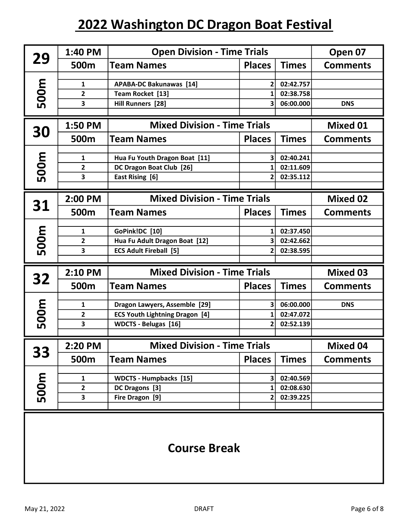|      | 1:40 PM      | <b>Open Division - Time Trials</b>    |                     |              | Open 07         |
|------|--------------|---------------------------------------|---------------------|--------------|-----------------|
| 29   | 500m         | <b>Team Names</b>                     | <b>Places</b>       | <b>Times</b> | <b>Comments</b> |
|      | 1            | <b>APABA-DC Bakunawas [14]</b>        | 2                   | 02:42.757    |                 |
| 500m | $\mathbf{2}$ | Team Rocket [13]                      | 1                   | 02:38.758    |                 |
|      | 3            | Hill Runners [28]                     | 3                   | 06:00.000    | <b>DNS</b>      |
|      |              |                                       |                     |              |                 |
|      | 1:50 PM      | <b>Mixed Division - Time Trials</b>   |                     |              | <b>Mixed 01</b> |
| 30   | 500m         | <b>Team Names</b>                     | <b>Places</b>       | <b>Times</b> | <b>Comments</b> |
|      | 1            | Hua Fu Youth Dragon Boat [11]         | 3                   | 02:40.241    |                 |
| 500m | 2            | DC Dragon Boat Club [26]              | 1                   | 02:11.609    |                 |
|      | 3            | East Rising [6]                       | 2                   | 02:35.112    |                 |
|      |              |                                       |                     |              |                 |
|      | 2:00 PM      | <b>Mixed Division - Time Trials</b>   |                     |              | <b>Mixed 02</b> |
| 31   | 500m         | <b>Team Names</b>                     | <b>Places</b>       | <b>Times</b> | <b>Comments</b> |
|      | 1            | GoPink!DC [10]                        | 1                   | 02:37.450    |                 |
|      | $\mathbf{2}$ | Hua Fu Adult Dragon Boat [12]         |                     | 02:42.662    |                 |
| 500m | 3            | <b>ECS Adult Fireball [5]</b>         | 2                   | 02:38.595    |                 |
|      |              |                                       |                     |              |                 |
| 32   | 2:10 PM      | <b>Mixed Division - Time Trials</b>   |                     |              | <b>Mixed 03</b> |
|      | 500m         | <b>Team Names</b>                     | <b>Places</b>       | <b>Times</b> | <b>Comments</b> |
|      | 1            | Dragon Lawyers, Assemble [29]         | 3                   | 06:00.000    | <b>DNS</b>      |
| 500m | $\mathbf{2}$ | <b>ECS Youth Lightning Dragon [4]</b> |                     | 02:47.072    |                 |
|      | 3            | <b>WDCTS - Belugas [16]</b>           | 2                   | 02:52.139    |                 |
|      |              |                                       |                     |              |                 |
| 33   | 2:20 PM      | <b>Mixed Division - Time Trials</b>   |                     |              | <b>Mixed 04</b> |
|      | 500m         | <b>Team Names</b>                     | <b>Places</b>       | <b>Times</b> | <b>Comments</b> |
|      | 1            | <b>WDCTS - Humpbacks [15]</b>         | 3                   | 02:40.569    |                 |
|      | 2            | DC Dragons [3]                        | 1                   | 02:08.630    |                 |
| 500m | 3            | Fire Dragon [9]                       | 2                   | 02:39.225    |                 |
|      |              |                                       |                     |              |                 |
|      |              |                                       |                     |              |                 |
|      |              |                                       |                     |              |                 |
|      |              |                                       | <b>Course Break</b> |              |                 |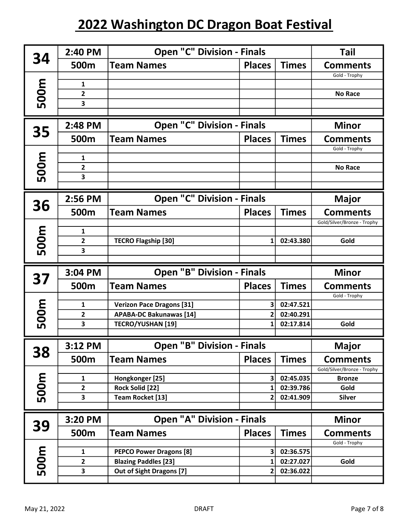|      | 2:40 PM                        | <b>Open "C" Division - Finals</b>                             |               |                        | <b>Tail</b>                                    |
|------|--------------------------------|---------------------------------------------------------------|---------------|------------------------|------------------------------------------------|
| 34   | 500m                           | <b>Team Names</b>                                             | <b>Places</b> | <b>Times</b>           | <b>Comments</b>                                |
|      |                                |                                                               |               |                        | Gold - Trophy                                  |
|      | $\mathbf{1}$<br>$\overline{2}$ |                                                               |               |                        | <b>No Race</b>                                 |
| 500m | 3                              |                                                               |               |                        |                                                |
|      |                                |                                                               |               |                        |                                                |
| 35   | 2:48 PM                        | <b>Open "C" Division - Finals</b>                             |               |                        | <b>Minor</b>                                   |
|      | 500m                           | <b>Team Names</b>                                             | <b>Places</b> | <b>Times</b>           | <b>Comments</b>                                |
|      | $\mathbf{1}$                   |                                                               |               |                        | Gold - Trophy                                  |
| 500m | 2                              |                                                               |               |                        | <b>No Race</b>                                 |
|      | 3                              |                                                               |               |                        |                                                |
|      |                                |                                                               |               |                        |                                                |
| 36   | 2:56 PM                        | <b>Open "C" Division - Finals</b>                             |               |                        | <b>Major</b>                                   |
|      | 500m                           | <b>Team Names</b>                                             | <b>Places</b> | <b>Times</b>           | <b>Comments</b><br>Gold/Silver/Bronze - Trophy |
|      | $\mathbf{1}$                   |                                                               |               |                        |                                                |
| 500m | $\mathbf{2}$                   | <b>TECRO Flagship [30]</b>                                    | 1             | 02:43.380              | Gold                                           |
|      | 3                              |                                                               |               |                        |                                                |
|      |                                |                                                               |               |                        |                                                |
|      | 3:04 PM                        |                                                               |               |                        | <b>Minor</b>                                   |
| 37   | 500m                           | <b>Open "B" Division - Finals</b><br><b>Team Names</b>        | <b>Places</b> | <b>Times</b>           | <b>Comments</b>                                |
|      |                                |                                                               |               |                        | Gold - Trophy                                  |
|      | $\mathbf{1}$                   | <b>Verizon Pace Dragons [31]</b>                              | 3             | 02:47.521              |                                                |
|      | $\overline{2}$                 | <b>APABA-DC Bakunawas [14]</b>                                | 2             | 02:40.291              |                                                |
| 500m | $\overline{\mathbf{3}}$        | <b>TECRO/YUSHAN [19]</b>                                      | 1             | 02:17.814              | Gold                                           |
|      | $3:12$ PM                      | <b>Open "B" Division - Finals</b>                             |               |                        | Major                                          |
| 38   | 500m                           | <b>Team Names</b>                                             | <b>Places</b> | <b>Times</b>           | <b>Comments</b>                                |
|      |                                |                                                               |               |                        | Gold/Silver/Bronze - Trophy                    |
|      | $\mathbf{1}$                   | Hongkonger [25]                                               | 3<br>1        | 02:45.035              | <b>Bronze</b>                                  |
|      | 2<br>$\overline{\mathbf{3}}$   | Rock Solid [22]<br>Team Rocket [13]                           | 2             | 02:39.786<br>02:41.909 | Gold<br><b>Silver</b>                          |
| 500m |                                |                                                               |               |                        |                                                |
|      | 3:20 PM                        | <b>Open "A" Division - Finals</b>                             |               |                        | <b>Minor</b>                                   |
| 39   | 500m                           | <b>Team Names</b>                                             | <b>Places</b> | <b>Times</b>           | <b>Comments</b>                                |
|      |                                |                                                               |               |                        | Gold - Trophy                                  |
|      | $\mathbf{1}$<br>$\mathbf{2}$   | <b>PEPCO Power Dragons [8]</b><br><b>Blazing Paddles [23]</b> | 3<br>1        | 02:36.575<br>02:27.027 | Gold                                           |
| 500m | 3                              | Out of Sight Dragons [7]                                      | 2             | 02:36.022              |                                                |